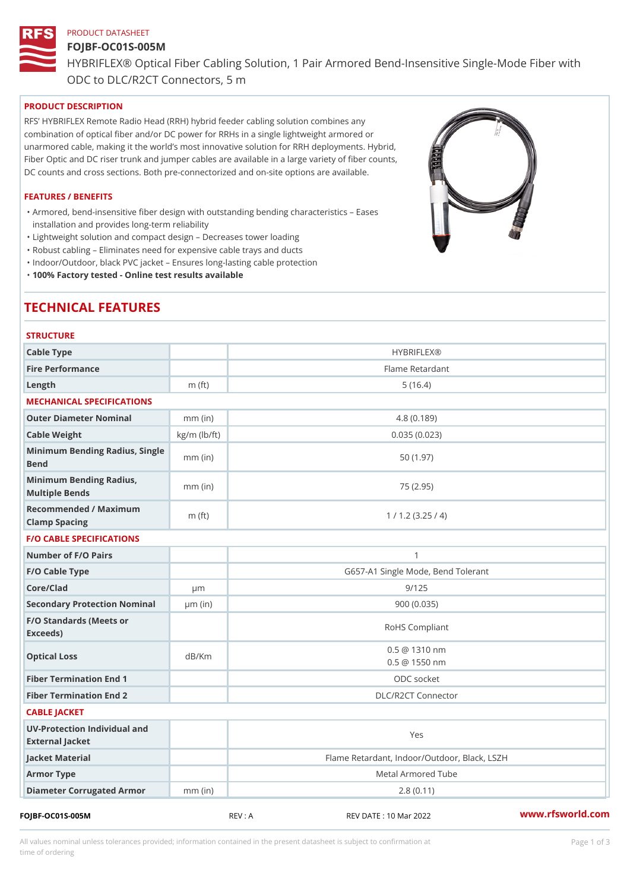#### PRODUCT DATASHEET

# FOJBF-OC01S-005M HYBRIFLEX® Optical Fiber Cabling Solution, 1 Pair Armored Bend-Inse ODC to DLC/R2CT Connectors, 5 m

## PRODUCT DESCRIPTION

RFS HYBRIFLEX Remote Radio Head (RRH) hybrid feeder cabling solution combines any combination of optical fiber and/or DC power for RRHs in a single lightweight armored or unarmored cable, making it the world s most innovative solution for RRH deployments. Hybrid, Fiber Optic and DC riser trunk and jumper cables are available in a large variety of fiber counts, DC counts and cross sections. Both pre-connectorized and on-site options are available.

#### FEATURES / BENEFITS

Armored, bend-insensitive fiber design with outstanding bending characteristics Eases " installation and provides long-term reliability

"Lightweight solution and compact design Decreases tower loading

"Robust cabling Eliminates need for expensive cable trays and ducts

"Indoor/Outdoor, black PVC jacket Ensures long-lasting cable protection

"100% Factory tested - Online test results available

# TECHNICAL FEATURES

| <b>STRUCTURE</b>                                  |                    |                                                |
|---------------------------------------------------|--------------------|------------------------------------------------|
| Cable Type                                        |                    | <b>HYBRIFLEX®</b>                              |
| Fire Performance                                  |                    | Flame Retardant                                |
| Length                                            | $m$ (ft)           | 5(16.4)                                        |
| MECHANICAL SPECIFICATIONS                         |                    |                                                |
| Outer Diameter Nominal                            | $mm$ (in)          | 4.8(0.189)                                     |
| Cable Weight                                      | $kg/m$ ( $lb/ft$ ) | 0.035(0.023)                                   |
| Minimum Bending Radius, Single<br>Bend            |                    | 50(1.97)                                       |
| Minimum Bending Radius, mm (in)<br>Multiple Bends |                    | 75 (2.95)                                      |
| Recommended / Maximum<br>Clamp Spacing            | $m$ (ft)           | 1 / 1.2 (3.25 / 4)                             |
| <b>F/O CABLE SPECIFICATIONS</b>                   |                    |                                                |
| Number of F/O Pairs                               |                    | $\mathbf{1}$                                   |
| F/O Cable Type                                    |                    | G657-A1 Single Mode, Bend Tolerant             |
| Core/Clad                                         | $\mu$ m            | 9/125                                          |
| Secondary Protection Nomumal(in)                  |                    | 900 (0.035)                                    |
| F/O Standards (Meets or<br>Exceeds)               |                    | RoHS Compliant                                 |
| Optical Loss                                      | dB/Km              | $0.5 \ @ \ 1310 \ nm$<br>$0.5 \ @ \ 1550 \ nm$ |
| Fiber Termination End                             |                    | ODC socket                                     |
| Fiber Termination End 2                           |                    | DLC/R2CT Connector                             |
| CABLE JACKET                                      |                    |                                                |
| UV-Protection Individual and<br>External Jacket   |                    | Yes                                            |
| Jacket Material                                   |                    | Flame Retardant, Indoor/Outdoor, Black, LSZH   |
| Armor Type                                        |                    | Metal Armored Tube                             |
| Diameter Corrugated Armomm (in)                   |                    | 2.8(0.11)                                      |
|                                                   |                    |                                                |

FOJBF-OC01S-005M REV : A REV DATE : 10 Mar 2022 [www.](https://www.rfsworld.com)rfsworld.com

All values nominal unless tolerances provided; information contained in the present datasheet is subject to Pcapgeign mation time of ordering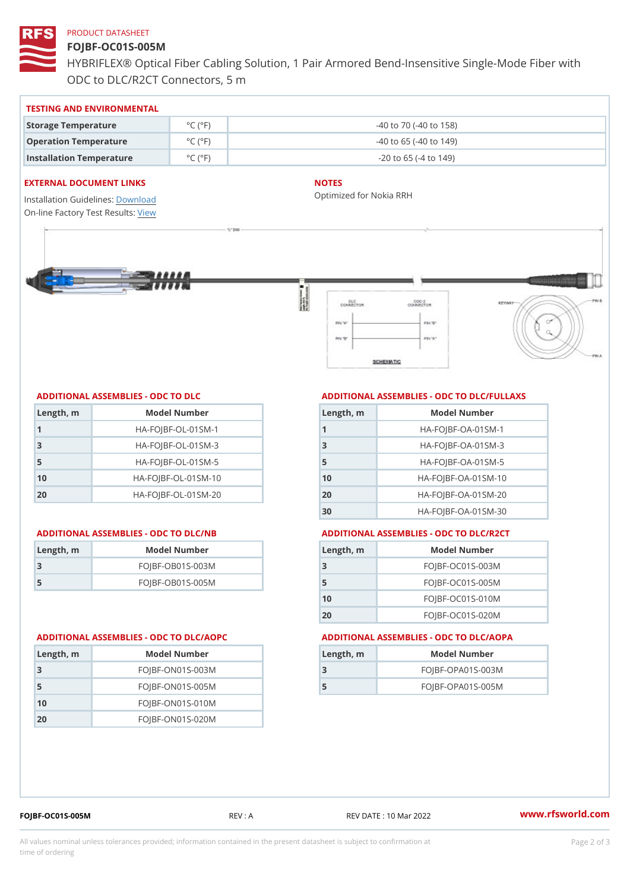### PRODUCT DATASHEET

## FOJBF-OC01S-005M

HYBRIFLEX® Optical Fiber Cabling Solution, 1 Pair Armored Bend-Inse ODC to DLC/R2CT Connectors, 5 m

#### TESTING AND ENVIRONMENTAL

| Storage Temperature                                   | $^{\circ}$ C ( $^{\circ}$ F)  | $-40$ to $70$ ( $-40$ to $158$ ) |
|-------------------------------------------------------|-------------------------------|----------------------------------|
| Operation Temperature                                 | $^{\circ}$ C ( $^{\circ}$ F ) | $-40$ to 65 ( $-40$ to 149)      |
| Installation Temperature $^{\circ}$ C ( $^{\circ}$ F) |                               | $-20$ to 65 ( $-4$ to 149)       |

#### EXTERNAL DOCUMENT LINKS

Installation Guidelwinessad On-line Factory Te[s](https://www.rfsworld.com/pictures/userfiles/programs/AAST Latest Version.zip)teResults:

#### NOTES

Optimized for Nokia RRH

#### ADDITIONAL ASSEMBLIES - ODC TO DLC

| Length, m | Model Number                   |
|-----------|--------------------------------|
| 1         | $HA - FOJBF - OL - 01SM - 1$   |
| -3        | $HA - FOJBF - OL - 01SM - 3$   |
| 5         | $HA - FOJBF - OL - 01SM - 5$   |
| 10        | $HA - FOJBF - O L - 01SM - 10$ |
| 20        | $HA - FOJBF - O L - 01SM - 20$ |

#### ADDITIONAL ASSEMBLIES - ODC TO DLC/NB ADDITIONAL ASSEMBLIES - ODC TO DLC/R2CT

| Length, rn | Model Number       |
|------------|--------------------|
| -3         | $FOJBF-OBO1S-OO3M$ |
| -5         | $FOJBF-OBO1S-OO5M$ |

# ADDITIONAL ASSEMBLIES - ODC TO DLC/FULLAXS

| Length, m | Model Number                  |
|-----------|-------------------------------|
|           | $HA - FOJBF - OA - 01SM - 1$  |
| -3        | $HA - FOJBF - OA - 01SM - B$  |
| 5         | $HA - FOJBF - OA - 01SM - 5$  |
| 10        | $HA - FOJBF - OA - 01SM - 10$ |
| 20        | $HA - FOJBF - OA - 01SM - 20$ |
| 30        | HA-FOJBF-OA-01SM-30           |

| Length, m | Model Number       |
|-----------|--------------------|
| -3        | $FOJBF-OCO1S-OO3M$ |
| 5         | $FOJBF-OCO1S-OO5M$ |
| 10        | $FOJBF-OCO1S-010M$ |
| 20        | $FOJBF-OCO1S-020M$ |

#### ADDITIONAL ASSEMBLIES - ODC TO DLC/AOPC ADDITIONAL ASSEMBLIES - ODC TO DLC/AOPA

| Length, m | Model Number        |
|-----------|---------------------|
|           | $FOJBF-OPAO1S-003M$ |
| 5         | $FOJBF-OPAO1S-005M$ |

| Length, m | Model Number       |
|-----------|--------------------|
| 3         | $FOJBF-ONO1S-003M$ |
| -5        | $FOJBF-ONO1S-OO5M$ |
| 10        | $FOJBF-ON01S-010M$ |
| 20        | $FOJBF-ONO1S-020M$ |

FOJBF-OC01S-005M REV : A REV DATE : 10 Mar 2022 [www.](https://www.rfsworld.com)rfsworld.com

All values nominal unless tolerances provided; information contained in the present datasheet is subject to Pcapgelio an atio time of ordering